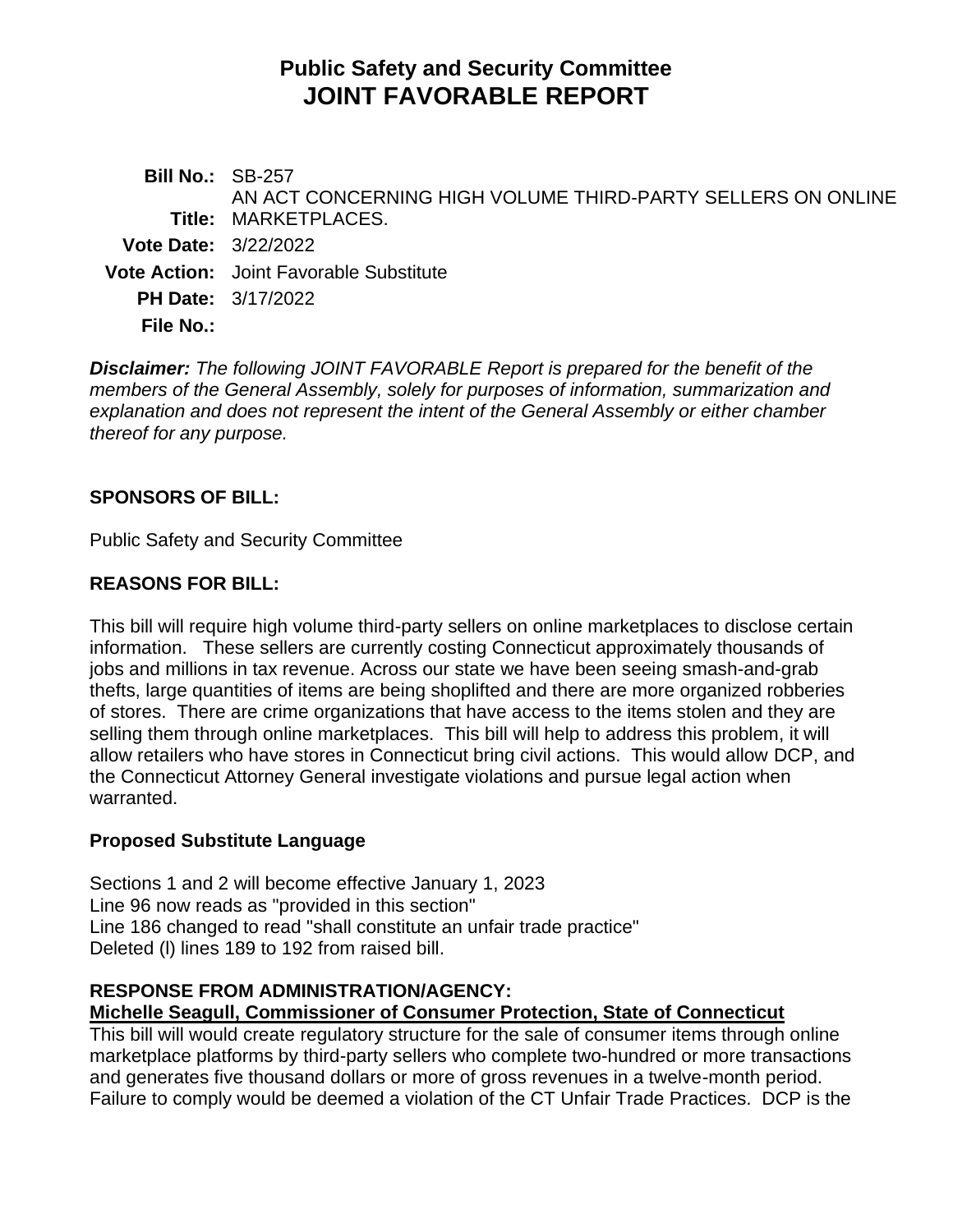# **Public Safety and Security Committee JOINT FAVORABLE REPORT**

**Bill No.:** SB-257 **Title:** MARKETPLACES. AN ACT CONCERNING HIGH VOLUME THIRD-PARTY SELLERS ON ONLINE **Vote Date:** 3/22/2022 **Vote Action:** Joint Favorable Substitute **PH Date:** 3/17/2022 **File No.:**

*Disclaimer: The following JOINT FAVORABLE Report is prepared for the benefit of the members of the General Assembly, solely for purposes of information, summarization and explanation and does not represent the intent of the General Assembly or either chamber thereof for any purpose.*

### **SPONSORS OF BILL:**

Public Safety and Security Committee

### **REASONS FOR BILL:**

This bill will require high volume third-party sellers on online marketplaces to disclose certain information. These sellers are currently costing Connecticut approximately thousands of jobs and millions in tax revenue. Across our state we have been seeing smash-and-grab thefts, large quantities of items are being shoplifted and there are more organized robberies of stores. There are crime organizations that have access to the items stolen and they are selling them through online marketplaces. This bill will help to address this problem, it will allow retailers who have stores in Connecticut bring civil actions. This would allow DCP, and the Connecticut Attorney General investigate violations and pursue legal action when warranted.

### **Proposed Substitute Language**

Sections 1 and 2 will become effective January 1, 2023 Line 96 now reads as "provided in this section" Line 186 changed to read "shall constitute an unfair trade practice" Deleted (l) lines 189 to 192 from raised bill.

## **RESPONSE FROM ADMINISTRATION/AGENCY:**

#### **Michelle Seagull, Commissioner of Consumer Protection, State of Connecticut**

This bill will would create regulatory structure for the sale of consumer items through online marketplace platforms by third-party sellers who complete two-hundred or more transactions and generates five thousand dollars or more of gross revenues in a twelve-month period. Failure to comply would be deemed a violation of the CT Unfair Trade Practices. DCP is the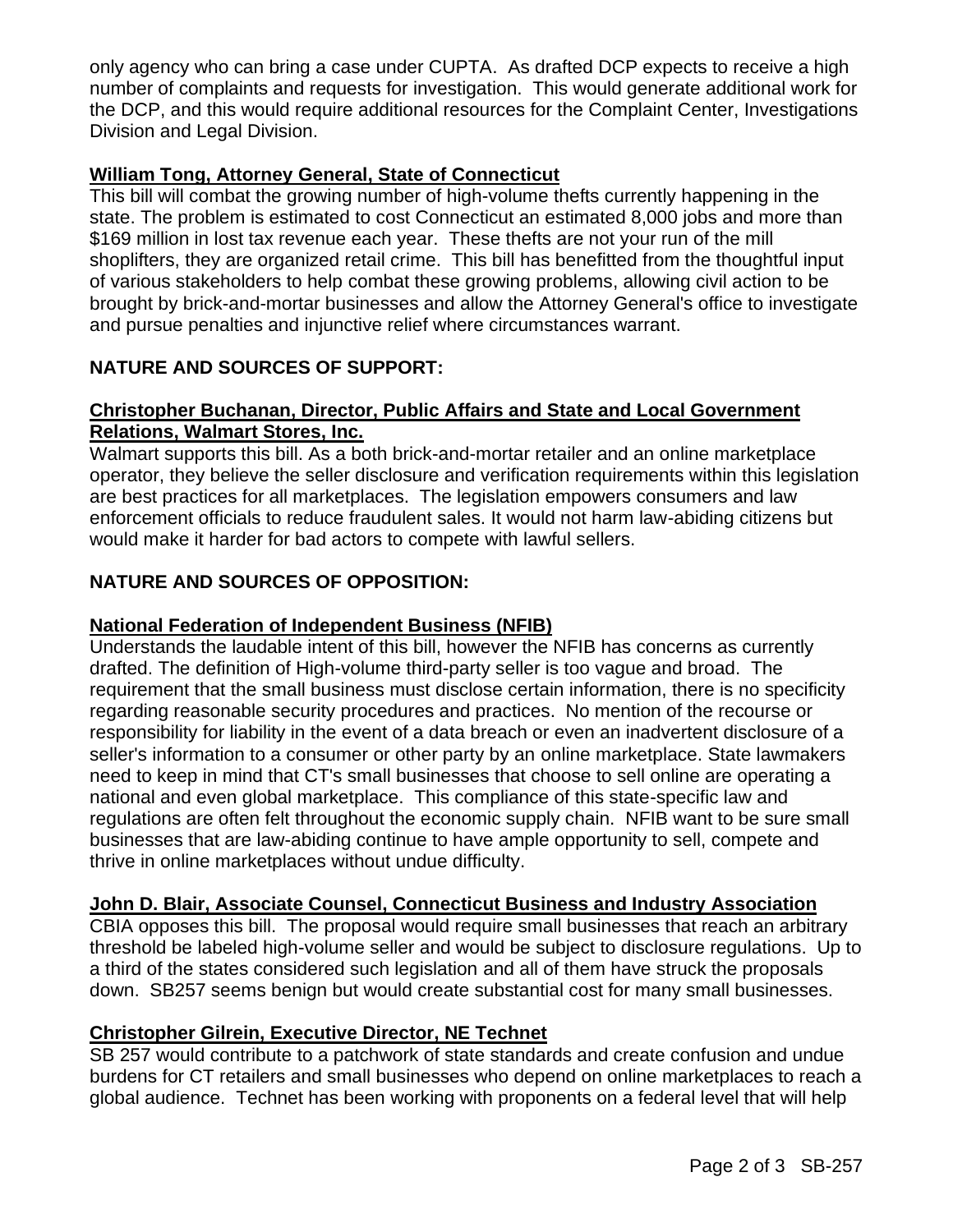only agency who can bring a case under CUPTA. As drafted DCP expects to receive a high number of complaints and requests for investigation. This would generate additional work for the DCP, and this would require additional resources for the Complaint Center, Investigations Division and Legal Division.

#### **William Tong, Attorney General, State of Connecticut**

This bill will combat the growing number of high-volume thefts currently happening in the state. The problem is estimated to cost Connecticut an estimated 8,000 jobs and more than \$169 million in lost tax revenue each year. These thefts are not your run of the mill shoplifters, they are organized retail crime. This bill has benefitted from the thoughtful input of various stakeholders to help combat these growing problems, allowing civil action to be brought by brick-and-mortar businesses and allow the Attorney General's office to investigate and pursue penalties and injunctive relief where circumstances warrant.

### **NATURE AND SOURCES OF SUPPORT:**

#### **Christopher Buchanan, Director, Public Affairs and State and Local Government Relations, Walmart Stores, Inc.**

Walmart supports this bill. As a both brick-and-mortar retailer and an online marketplace operator, they believe the seller disclosure and verification requirements within this legislation are best practices for all marketplaces. The legislation empowers consumers and law enforcement officials to reduce fraudulent sales. It would not harm law-abiding citizens but would make it harder for bad actors to compete with lawful sellers.

### **NATURE AND SOURCES OF OPPOSITION:**

#### **National Federation of Independent Business (NFIB)**

Understands the laudable intent of this bill, however the NFIB has concerns as currently drafted. The definition of High-volume third-party seller is too vague and broad. The requirement that the small business must disclose certain information, there is no specificity regarding reasonable security procedures and practices. No mention of the recourse or responsibility for liability in the event of a data breach or even an inadvertent disclosure of a seller's information to a consumer or other party by an online marketplace. State lawmakers need to keep in mind that CT's small businesses that choose to sell online are operating a national and even global marketplace. This compliance of this state-specific law and regulations are often felt throughout the economic supply chain. NFIB want to be sure small businesses that are law-abiding continue to have ample opportunity to sell, compete and thrive in online marketplaces without undue difficulty.

### **John D. Blair, Associate Counsel, Connecticut Business and Industry Association**

CBIA opposes this bill. The proposal would require small businesses that reach an arbitrary threshold be labeled high-volume seller and would be subject to disclosure regulations. Up to a third of the states considered such legislation and all of them have struck the proposals down. SB257 seems benign but would create substantial cost for many small businesses.

### **Christopher Gilrein, Executive Director, NE Technet**

SB 257 would contribute to a patchwork of state standards and create confusion and undue burdens for CT retailers and small businesses who depend on online marketplaces to reach a global audience. Technet has been working with proponents on a federal level that will help